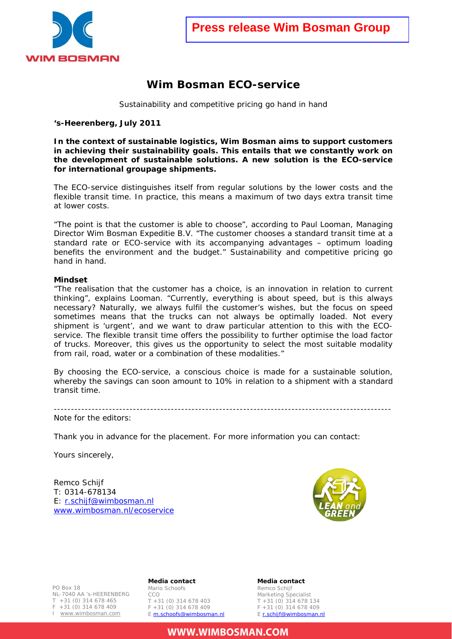

## **Wim Bosman ECO-service**

Sustainability and competitive pricing go hand in hand

**'s-Heerenberg, July 2011** 

**In the context of sustainable logistics, Wim Bosman aims to support customers in achieving their sustainability goals. This entails that we constantly work on the development of sustainable solutions. A new solution is the ECO-service for international groupage shipments.** 

The ECO-service distinguishes itself from regular solutions by the lower costs and the flexible transit time. In practice, this means a maximum of two days extra transit time at lower costs.

"The point is that the customer is able to choose", according to Paul Looman, Managing Director Wim Bosman Expeditie B.V. "The customer chooses a standard transit time at a standard rate or ECO-service with its accompanying advantages – optimum loading benefits the environment and the budget." Sustainability and competitive pricing go hand in hand.

## **Mindset**

"The realisation that the customer has a choice, is an innovation in relation to current thinking", explains Looman. "Currently, everything is about speed, but is this always necessary? Naturally, we always fulfil the customer's wishes, but the focus on speed sometimes means that the trucks can not always be optimally loaded. Not every shipment is 'urgent', and we want to draw particular attention to this with the ECOservice. The flexible transit time offers the possibility to further optimise the load factor of trucks. Moreover, this gives us the opportunity to select the most suitable modality from rail, road, water or a combination of these modalities."

By choosing the ECO-service, a conscious choice is made for a sustainable solution, whereby the savings can soon amount to 10% in relation to a shipment with a standard transit time.

-------------------------------------------------------------------------------------------------- Note for the editors:

Thank you in advance for the placement. For more information you can contact:

Yours sincerely,

Remco Schijf T: 0314-678134 E: r.schijf@wimbosman.nl www.wimbosman.nl/ecoservice



NL-7040 AA 's-HEERENBERG<br>T +31 (0) 314 678 465 PO Box 18 +31 (0) 314 678 465  $F + 31 (0) 314 678 409$ I www.wimbosman.com

**Media contact**  Mario Schoofs CCO T +31 (0) 314 678 403  $F + 31 (0) 314 678 409$ E m.schoofs@wimbosman.nl **Media contact**  Remco Schijf Marketing Specialist T +31 (0) 314 678 134  $F + 31 (0) 314 678 409$ E r.schijf@wimbosman.nl

**WWW.WIMBOSMAN.COM**